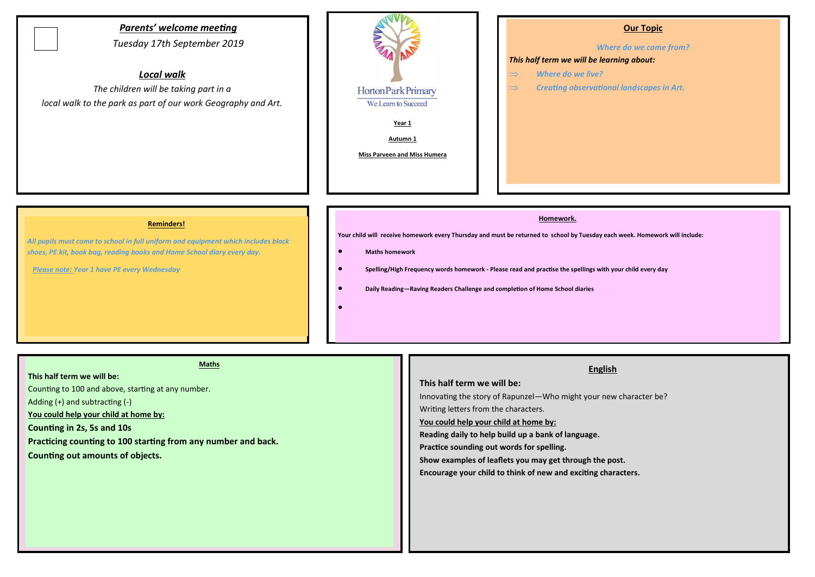# *Parents' welcome meeting*

*Tuesday 17th September 2019*

# *Local walk*

*The children will be taking part in a local walk to the park as part of our work Geography and Art.*



# **Our Topic**

*Where do we come from?* 

#### *This half term we will be learning about:*

- *Where do we live?*
- *Creating observational landscapes in Art.*

#### **Reminders!**

*All pupils must come to school in full uniform and equipment which includes black shoes, PE kit, book bag, reading books and Home School diary every day.* 

 *Please note: Year 1 have PE every Wednesday*

#### **Homework.**

**Your child will receive homework every Thursday and must be returned to school by Tuesday each week. Homework will include:** 

#### **Maths homework**

- **Spelling/High Frequency words homework - Please read and practise the spellings with your child every day**
- **Daily Reading—Raving Readers Challenge and completion of Home School diaries**
- $\bullet$

**Maths**

#### **This half term we will be:**

Counting to 100 and above, starting at any number.

Adding (+) and subtracting (-)

**You could help your child at home by:**

**Counting in 2s, 5s and 10s** 

**Practicing counting to 100 starting from any number and back.** 

**Counting out amounts of objects.** 

# **English**

## **This half term we will be:**

Innovating the story of Rapunzel—Who might your new character be? Writing letters from the characters.

# **You could help your child at home by:**

**Reading daily to help build up a bank of language.** 

**Practice sounding out words for spelling.** 

**Show examples of leaflets you may get through the post.**

**Encourage your child to think of new and exciting characters.**